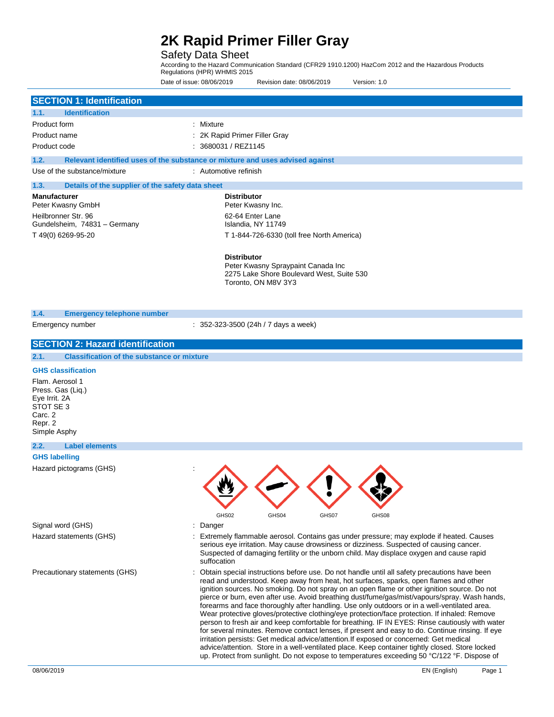### Safety Data Sheet

According to the Hazard Communication Standard (CFR29 1910.1200) HazCom 2012 and the Hazardous Products Regulations (HPR) WHMIS 2015 Date of issue: 08/06/2019 Revision date: 08/06/2019 Version: 1.0

|                                                                                                          | Date of <i>issue:</i> 08/06/2019<br>Revision date: 08/06/2019<br>Version: 1.0                                                                                                                                                                                                                                                                                                                                                                                                                                                                                                                                                                                                                                                                                                                                                                                                                                                                                                               |
|----------------------------------------------------------------------------------------------------------|---------------------------------------------------------------------------------------------------------------------------------------------------------------------------------------------------------------------------------------------------------------------------------------------------------------------------------------------------------------------------------------------------------------------------------------------------------------------------------------------------------------------------------------------------------------------------------------------------------------------------------------------------------------------------------------------------------------------------------------------------------------------------------------------------------------------------------------------------------------------------------------------------------------------------------------------------------------------------------------------|
| <b>SECTION 1: Identification</b>                                                                         |                                                                                                                                                                                                                                                                                                                                                                                                                                                                                                                                                                                                                                                                                                                                                                                                                                                                                                                                                                                             |
| 1.1.<br><b>Identification</b>                                                                            |                                                                                                                                                                                                                                                                                                                                                                                                                                                                                                                                                                                                                                                                                                                                                                                                                                                                                                                                                                                             |
| Product form                                                                                             | : Mixture                                                                                                                                                                                                                                                                                                                                                                                                                                                                                                                                                                                                                                                                                                                                                                                                                                                                                                                                                                                   |
| Product name                                                                                             | : 2K Rapid Primer Filler Gray                                                                                                                                                                                                                                                                                                                                                                                                                                                                                                                                                                                                                                                                                                                                                                                                                                                                                                                                                               |
| Product code                                                                                             | : 3680031 / REZ1145                                                                                                                                                                                                                                                                                                                                                                                                                                                                                                                                                                                                                                                                                                                                                                                                                                                                                                                                                                         |
| 1.2.                                                                                                     | Relevant identified uses of the substance or mixture and uses advised against                                                                                                                                                                                                                                                                                                                                                                                                                                                                                                                                                                                                                                                                                                                                                                                                                                                                                                               |
| Use of the substance/mixture                                                                             | : Automotive refinish                                                                                                                                                                                                                                                                                                                                                                                                                                                                                                                                                                                                                                                                                                                                                                                                                                                                                                                                                                       |
| 1.3.<br>Details of the supplier of the safety data sheet                                                 |                                                                                                                                                                                                                                                                                                                                                                                                                                                                                                                                                                                                                                                                                                                                                                                                                                                                                                                                                                                             |
| <b>Manufacturer</b><br>Peter Kwasny GmbH                                                                 | <b>Distributor</b><br>Peter Kwasny Inc.                                                                                                                                                                                                                                                                                                                                                                                                                                                                                                                                                                                                                                                                                                                                                                                                                                                                                                                                                     |
| Heilbronner Str. 96<br>Gundelsheim, 74831 - Germany                                                      | 62-64 Enter Lane<br>Islandia, NY 11749                                                                                                                                                                                                                                                                                                                                                                                                                                                                                                                                                                                                                                                                                                                                                                                                                                                                                                                                                      |
| T 49(0) 6269-95-20                                                                                       | T 1-844-726-6330 (toll free North America)                                                                                                                                                                                                                                                                                                                                                                                                                                                                                                                                                                                                                                                                                                                                                                                                                                                                                                                                                  |
|                                                                                                          | <b>Distributor</b><br>Peter Kwasny Spraypaint Canada Inc<br>2275 Lake Shore Boulevard West, Suite 530<br>Toronto, ON M8V 3Y3                                                                                                                                                                                                                                                                                                                                                                                                                                                                                                                                                                                                                                                                                                                                                                                                                                                                |
| 1.4.<br><b>Emergency telephone number</b>                                                                |                                                                                                                                                                                                                                                                                                                                                                                                                                                                                                                                                                                                                                                                                                                                                                                                                                                                                                                                                                                             |
| Emergency number                                                                                         | $: 352-323-3500$ (24h / 7 days a week)                                                                                                                                                                                                                                                                                                                                                                                                                                                                                                                                                                                                                                                                                                                                                                                                                                                                                                                                                      |
|                                                                                                          |                                                                                                                                                                                                                                                                                                                                                                                                                                                                                                                                                                                                                                                                                                                                                                                                                                                                                                                                                                                             |
| <b>SECTION 2: Hazard identification</b>                                                                  |                                                                                                                                                                                                                                                                                                                                                                                                                                                                                                                                                                                                                                                                                                                                                                                                                                                                                                                                                                                             |
| 2.1.<br><b>Classification of the substance or mixture</b>                                                |                                                                                                                                                                                                                                                                                                                                                                                                                                                                                                                                                                                                                                                                                                                                                                                                                                                                                                                                                                                             |
| Flam. Aerosol 1<br>Press. Gas (Liq.)<br>Eye Irrit. 2A<br>STOT SE 3<br>Carc. 2<br>Repr. 2<br>Simple Asphy |                                                                                                                                                                                                                                                                                                                                                                                                                                                                                                                                                                                                                                                                                                                                                                                                                                                                                                                                                                                             |
| 2.2.<br><b>Label elements</b>                                                                            |                                                                                                                                                                                                                                                                                                                                                                                                                                                                                                                                                                                                                                                                                                                                                                                                                                                                                                                                                                                             |
| <b>GHS labelling</b>                                                                                     |                                                                                                                                                                                                                                                                                                                                                                                                                                                                                                                                                                                                                                                                                                                                                                                                                                                                                                                                                                                             |
| Hazard pictograms (GHS)                                                                                  | GHS02<br>GHS04<br>GHS07<br>GHS08                                                                                                                                                                                                                                                                                                                                                                                                                                                                                                                                                                                                                                                                                                                                                                                                                                                                                                                                                            |
| Signal word (GHS)                                                                                        | Danger                                                                                                                                                                                                                                                                                                                                                                                                                                                                                                                                                                                                                                                                                                                                                                                                                                                                                                                                                                                      |
| Hazard statements (GHS)                                                                                  | Extremely flammable aerosol. Contains gas under pressure; may explode if heated. Causes<br>serious eye irritation. May cause drowsiness or dizziness. Suspected of causing cancer.<br>Suspected of damaging fertility or the unborn child. May displace oxygen and cause rapid<br>suffocation                                                                                                                                                                                                                                                                                                                                                                                                                                                                                                                                                                                                                                                                                               |
| Precautionary statements (GHS)                                                                           | Obtain special instructions before use. Do not handle until all safety precautions have been<br>read and understood. Keep away from heat, hot surfaces, sparks, open flames and other<br>ignition sources. No smoking. Do not spray on an open flame or other ignition source. Do not<br>pierce or burn, even after use. Avoid breathing dust/fume/gas/mist/vapours/spray. Wash hands,<br>forearms and face thoroughly after handling. Use only outdoors or in a well-ventilated area.<br>Wear protective gloves/protective clothing/eye protection/face protection. If inhaled: Remove<br>person to fresh air and keep comfortable for breathing. IF IN EYES: Rinse cautiously with water<br>for several minutes. Remove contact lenses, if present and easy to do. Continue rinsing. If eye<br>irritation persists: Get medical advice/attention. If exposed or concerned: Get medical<br>advice/attention. Store in a well-ventilated place. Keep container tightly closed. Store locked |

up. Protect from sunlight. Do not expose to temperatures exceeding 50 °C/122 °F. Dispose of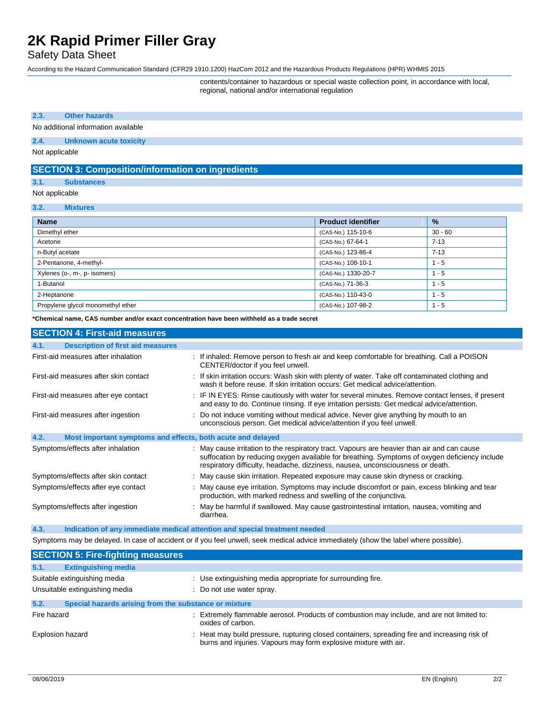### Safety Data Sheet

According to the Hazard Communication Standard (CFR29 1910.1200) HazCom 2012 and the Hazardous Products Regulations (HPR) WHMIS 2015

contents/container to hazardous or special waste collection point, in accordance with local, regional, national and/or international regulation

#### **2.3. Other hazards**

No additional information available

#### **2.4. Unknown acute toxicity**

Not applicable

### **SECTION 3: Composition/information on ingredients**

#### **3.1. Substances**

#### Not applicable

#### **3.2. Mixtures**

| <b>Name</b>                       | <b>Product identifier</b> | %         |
|-----------------------------------|---------------------------|-----------|
| Dimethyl ether                    | (CAS-No.) 115-10-6        | $30 - 60$ |
| Acetone                           | (CAS-No.) 67-64-1         | $7 - 13$  |
| n-Butyl acetate                   | (CAS-No.) 123-86-4        | $7 - 13$  |
| 2-Pentanone, 4-methyl-            | (CAS-No.) 108-10-1        | - 5       |
| Xylenes (o-, m-, p- isomers)      | (CAS-No.) 1330-20-7       | - 5       |
| 1-Butanol                         | (CAS-No.) 71-36-3         | - 5       |
| 2-Heptanone                       | (CAS-No.) 110-43-0        | - 5       |
| Propylene glycol monomethyl ether | (CAS-No.) 107-98-2        | - 5       |

**\*Chemical name, CAS number and/or exact concentration have been withheld as a trade secret**

| <b>SECTION 4: First-aid measures</b>                                |                                                                                                                                                                                                                                                                                |
|---------------------------------------------------------------------|--------------------------------------------------------------------------------------------------------------------------------------------------------------------------------------------------------------------------------------------------------------------------------|
| <b>Description of first aid measures</b><br>4.1.                    |                                                                                                                                                                                                                                                                                |
| First-aid measures after inhalation                                 | : If inhaled: Remove person to fresh air and keep comfortable for breathing. Call a POISON<br>CENTER/doctor if you feel unwell.                                                                                                                                                |
| First-aid measures after skin contact                               | : If skin irritation occurs: Wash skin with plenty of water. Take off contaminated clothing and<br>wash it before reuse. If skin irritation occurs: Get medical advice/attention.                                                                                              |
| First-aid measures after eye contact                                | : IF IN EYES: Rinse cautiously with water for several minutes. Remove contact lenses, if present<br>and easy to do. Continue rinsing. If eye irritation persists: Get medical advice/attention.                                                                                |
| First-aid measures after ingestion                                  | : Do not induce vomiting without medical advice. Never give anything by mouth to an<br>unconscious person. Get medical advice/attention if you feel unwell.                                                                                                                    |
| 4.2.<br>Most important symptoms and effects, both acute and delayed |                                                                                                                                                                                                                                                                                |
| Symptoms/effects after inhalation                                   | : May cause irritation to the respiratory tract. Vapours are heavier than air and can cause<br>suffocation by reducing oxygen available for breathing. Symptoms of oxygen deficiency include<br>respiratory difficulty, headache, dizziness, nausea, unconsciousness or death. |
| Symptoms/effects after skin contact                                 | : May cause skin irritation. Repeated exposure may cause skin dryness or cracking.                                                                                                                                                                                             |
| Symptoms/effects after eye contact                                  | : May cause eye irritation. Symptoms may include discomfort or pain, excess blinking and tear<br>production, with marked redness and swelling of the conjunctiva.                                                                                                              |
| Symptoms/effects after ingestion                                    | : May be harmful if swallowed. May cause gastrointestinal irritation, nausea, vomiting and<br>diarrhea.                                                                                                                                                                        |

**4.3. Indication of any immediate medical attention and special treatment needed** Symptoms may be delayed. In case of accident or if you feel unwell, seek medical advice immediately (show the label where possible).

| of the and that the laboration and the second of the fourth of the second theorem and the transmission and the two models in the popular $\mu$ . |                                                                                                                                                                   |  |
|--------------------------------------------------------------------------------------------------------------------------------------------------|-------------------------------------------------------------------------------------------------------------------------------------------------------------------|--|
| <b>SECTION 5: Fire-fighting measures</b>                                                                                                         |                                                                                                                                                                   |  |
| 5.1.<br><b>Extinguishing media</b>                                                                                                               |                                                                                                                                                                   |  |
| Suitable extinguishing media                                                                                                                     | : Use extinguishing media appropriate for surrounding fire.                                                                                                       |  |
| Unsuitable extinguishing media                                                                                                                   | : Do not use water spray.                                                                                                                                         |  |
| 5.2.<br>Special hazards arising from the substance or mixture                                                                                    |                                                                                                                                                                   |  |
| Fire hazard                                                                                                                                      | : Extremely flammable aerosol. Products of combustion may include, and are not limited to:<br>oxides of carbon.                                                   |  |
| Explosion hazard                                                                                                                                 | : Heat may build pressure, rupturing closed containers, spreading fire and increasing risk of<br>burns and injuries. Vapours may form explosive mixture with air. |  |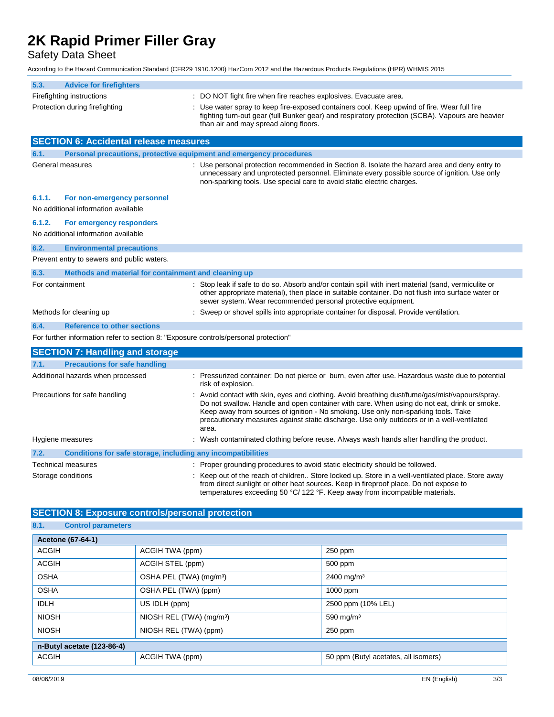Safety Data Sheet

According to the Hazard Communication Standard (CFR29 1910.1200) HazCom 2012 and the Hazardous Products Regulations (HPR) WHMIS 2015

| <b>Advice for firefighters</b><br>5.3.                                              |                                                                                                                                                                                                                                                                                                                                                                                             |
|-------------------------------------------------------------------------------------|---------------------------------------------------------------------------------------------------------------------------------------------------------------------------------------------------------------------------------------------------------------------------------------------------------------------------------------------------------------------------------------------|
| Firefighting instructions                                                           | : DO NOT fight fire when fire reaches explosives. Evacuate area.                                                                                                                                                                                                                                                                                                                            |
| Protection during firefighting                                                      | : Use water spray to keep fire-exposed containers cool. Keep upwind of fire. Wear full fire<br>fighting turn-out gear (full Bunker gear) and respiratory protection (SCBA). Vapours are heavier<br>than air and may spread along floors.                                                                                                                                                    |
| <b>SECTION 6: Accidental release measures</b>                                       |                                                                                                                                                                                                                                                                                                                                                                                             |
| 6.1.                                                                                | Personal precautions, protective equipment and emergency procedures                                                                                                                                                                                                                                                                                                                         |
| General measures                                                                    | : Use personal protection recommended in Section 8. Isolate the hazard area and deny entry to<br>unnecessary and unprotected personnel. Eliminate every possible source of ignition. Use only<br>non-sparking tools. Use special care to avoid static electric charges.                                                                                                                     |
| 6.1.1.<br>For non-emergency personnel                                               |                                                                                                                                                                                                                                                                                                                                                                                             |
| No additional information available                                                 |                                                                                                                                                                                                                                                                                                                                                                                             |
| 6.1.2.<br>For emergency responders                                                  |                                                                                                                                                                                                                                                                                                                                                                                             |
| No additional information available                                                 |                                                                                                                                                                                                                                                                                                                                                                                             |
| 6.2.<br><b>Environmental precautions</b>                                            |                                                                                                                                                                                                                                                                                                                                                                                             |
| Prevent entry to sewers and public waters.                                          |                                                                                                                                                                                                                                                                                                                                                                                             |
| 6.3.<br>Methods and material for containment and cleaning up                        |                                                                                                                                                                                                                                                                                                                                                                                             |
| For containment                                                                     | Stop leak if safe to do so. Absorb and/or contain spill with inert material (sand, vermiculite or<br>other appropriate material), then place in suitable container. Do not flush into surface water or<br>sewer system. Wear recommended personal protective equipment.                                                                                                                     |
| Methods for cleaning up                                                             | Sweep or shovel spills into appropriate container for disposal. Provide ventilation.                                                                                                                                                                                                                                                                                                        |
| 6.4.<br><b>Reference to other sections</b>                                          |                                                                                                                                                                                                                                                                                                                                                                                             |
| For further information refer to section 8: "Exposure controls/personal protection" |                                                                                                                                                                                                                                                                                                                                                                                             |
| <b>SECTION 7: Handling and storage</b>                                              |                                                                                                                                                                                                                                                                                                                                                                                             |
| <b>Precautions for safe handling</b><br>7.1.                                        |                                                                                                                                                                                                                                                                                                                                                                                             |
| Additional hazards when processed                                                   | : Pressurized container: Do not pierce or burn, even after use. Hazardous waste due to potential<br>risk of explosion.                                                                                                                                                                                                                                                                      |
| Precautions for safe handling                                                       | : Avoid contact with skin, eyes and clothing. Avoid breathing dust/fume/gas/mist/vapours/spray.<br>Do not swallow. Handle and open container with care. When using do not eat, drink or smoke.<br>Keep away from sources of ignition - No smoking. Use only non-sparking tools. Take<br>precautionary measures against static discharge. Use only outdoors or in a well-ventilated<br>area. |
| Hygiene measures                                                                    | : Wash contaminated clothing before reuse. Always wash hands after handling the product.                                                                                                                                                                                                                                                                                                    |
| 7.2.<br><b>Conditions for safe storage, including any incompatibilities</b>         |                                                                                                                                                                                                                                                                                                                                                                                             |
| Technical measures                                                                  | : Proper grounding procedures to avoid static electricity should be followed.                                                                                                                                                                                                                                                                                                               |
| Storage conditions                                                                  | : Keep out of the reach of children Store locked up. Store in a well-ventilated place. Store away<br>from direct sunlight or other heat sources. Keep in fireproof place. Do not expose to<br>temperatures exceeding 50 °C/ 122 °F. Keep away from incompatible materials.                                                                                                                  |

### **SECTION 8: Exposure controls/personal protection**

| 8.1.<br><b>Control parameters</b> |                                      |                                      |
|-----------------------------------|--------------------------------------|--------------------------------------|
| <b>Acetone (67-64-1)</b>          |                                      |                                      |
| <b>ACGIH</b>                      | ACGIH TWA (ppm)                      | $250$ ppm                            |
| <b>ACGIH</b>                      | ACGIH STEL (ppm)                     | 500 ppm                              |
| <b>OSHA</b>                       | OSHA PEL (TWA) (mg/m <sup>3</sup> )  | 2400 mg/m <sup>3</sup>               |
| <b>OSHA</b>                       | OSHA PEL (TWA) (ppm)                 | 1000 ppm                             |
| <b>IDLH</b>                       | US IDLH (ppm)                        | 2500 ppm (10% LEL)                   |
| <b>NIOSH</b>                      | NIOSH REL (TWA) (mg/m <sup>3</sup> ) | 590 mg/m $3$                         |
| <b>NIOSH</b>                      | NIOSH REL (TWA) (ppm)                | $250$ ppm                            |
| n-Butyl acetate (123-86-4)        |                                      |                                      |
| <b>ACGIH</b>                      | ACGIH TWA (ppm)                      | 50 ppm (Butyl acetates, all isomers) |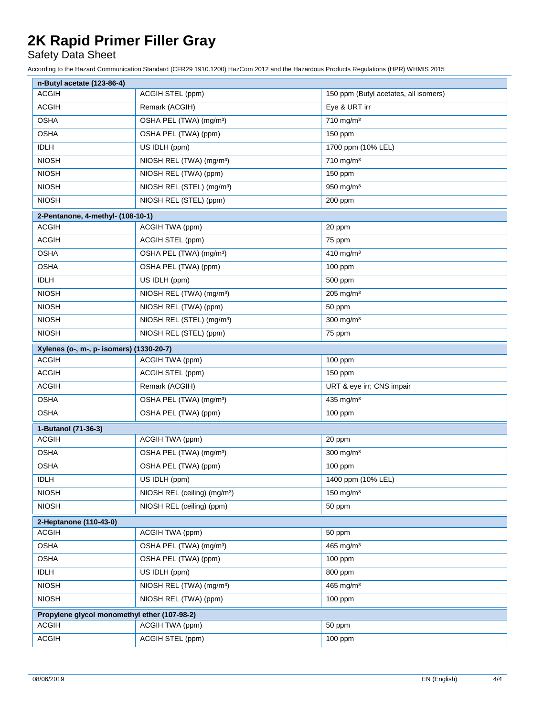## Safety Data Sheet

According to the Hazard Communication Standard (CFR29 1910.1200) HazCom 2012 and the Hazardous Products Regulations (HPR) WHMIS 2015

| n-Butyl acetate (123-86-4)                   |                                          |                                       |
|----------------------------------------------|------------------------------------------|---------------------------------------|
| <b>ACGIH</b>                                 | ACGIH STEL (ppm)                         | 150 ppm (Butyl acetates, all isomers) |
| <b>ACGIH</b>                                 | Remark (ACGIH)                           | Eye & URT irr                         |
| <b>OSHA</b>                                  | OSHA PEL (TWA) (mg/m <sup>3</sup> )      | 710 mg/m <sup>3</sup>                 |
| <b>OSHA</b>                                  | OSHA PEL (TWA) (ppm)                     | 150 ppm                               |
| <b>IDLH</b>                                  | US IDLH (ppm)                            | 1700 ppm (10% LEL)                    |
| <b>NIOSH</b>                                 | NIOSH REL (TWA) (mg/m <sup>3</sup> )     | $710$ mg/m <sup>3</sup>               |
| <b>NIOSH</b>                                 | NIOSH REL (TWA) (ppm)                    | 150 ppm                               |
| <b>NIOSH</b>                                 | NIOSH REL (STEL) (mg/m <sup>3</sup> )    | 950 mg/m <sup>3</sup>                 |
| <b>NIOSH</b>                                 | NIOSH REL (STEL) (ppm)                   | 200 ppm                               |
| 2-Pentanone, 4-methyl- (108-10-1)            |                                          |                                       |
| <b>ACGIH</b>                                 | ACGIH TWA (ppm)                          | 20 ppm                                |
| <b>ACGIH</b>                                 | ACGIH STEL (ppm)                         | 75 ppm                                |
| <b>OSHA</b>                                  | OSHA PEL (TWA) (mg/m <sup>3</sup> )      | 410 mg/m $3$                          |
| <b>OSHA</b>                                  | OSHA PEL (TWA) (ppm)                     | 100 ppm                               |
| <b>IDLH</b>                                  | US IDLH (ppm)                            | 500 ppm                               |
| <b>NIOSH</b>                                 | NIOSH REL (TWA) (mg/m <sup>3</sup> )     | 205 mg/m <sup>3</sup>                 |
| <b>NIOSH</b>                                 | NIOSH REL (TWA) (ppm)                    | 50 ppm                                |
| <b>NIOSH</b>                                 | NIOSH REL (STEL) (mg/m <sup>3</sup> )    | $300$ mg/m <sup>3</sup>               |
| <b>NIOSH</b>                                 | NIOSH REL (STEL) (ppm)                   | 75 ppm                                |
| Xylenes (o-, m-, p- isomers) (1330-20-7)     |                                          |                                       |
| <b>ACGIH</b>                                 | ACGIH TWA (ppm)                          | 100 ppm                               |
| <b>ACGIH</b>                                 | ACGIH STEL (ppm)                         | 150 ppm                               |
| <b>ACGIH</b>                                 | Remark (ACGIH)                           | URT & eye irr; CNS impair             |
| <b>OSHA</b>                                  | OSHA PEL (TWA) (mg/m <sup>3</sup> )      | 435 mg/m <sup>3</sup>                 |
| <b>OSHA</b>                                  | OSHA PEL (TWA) (ppm)                     | 100 ppm                               |
| 1-Butanol (71-36-3)                          |                                          |                                       |
| <b>ACGIH</b>                                 | ACGIH TWA (ppm)                          | 20 ppm                                |
| <b>OSHA</b>                                  | OSHA PEL (TWA) (mg/m <sup>3</sup> )      | $300$ mg/m <sup>3</sup>               |
| <b>OSHA</b>                                  | OSHA PEL (TWA) (ppm)                     | 100 ppm                               |
| <b>IDLH</b>                                  | US IDLH (ppm)                            | 1400 ppm (10% LEL)                    |
| <b>NIOSH</b>                                 | NIOSH REL (ceiling) (mg/m <sup>3</sup> ) | 150 mg/m <sup>3</sup>                 |
| <b>NIOSH</b>                                 | NIOSH REL (ceiling) (ppm)                | 50 ppm                                |
| 2-Heptanone (110-43-0)                       |                                          |                                       |
| <b>ACGIH</b>                                 | ACGIH TWA (ppm)                          | 50 ppm                                |
| <b>OSHA</b>                                  | OSHA PEL (TWA) (mg/m <sup>3</sup> )      | 465 mg/m <sup>3</sup>                 |
| <b>OSHA</b>                                  | OSHA PEL (TWA) (ppm)                     | 100 ppm                               |
| <b>IDLH</b>                                  | US IDLH (ppm)                            | 800 ppm                               |
| <b>NIOSH</b>                                 | NIOSH REL (TWA) (mg/m <sup>3</sup> )     | 465 mg/m <sup>3</sup>                 |
| <b>NIOSH</b>                                 | NIOSH REL (TWA) (ppm)                    | $100$ ppm                             |
| Propylene glycol monomethyl ether (107-98-2) |                                          |                                       |
| <b>ACGIH</b>                                 | ACGIH TWA (ppm)                          | 50 ppm                                |
| <b>ACGIH</b>                                 | ACGIH STEL (ppm)                         | 100 ppm                               |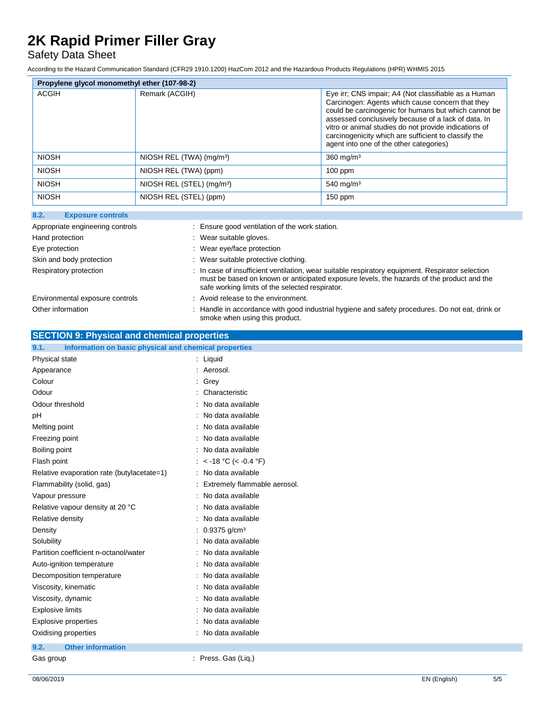## Safety Data Sheet

According to the Hazard Communication Standard (CFR29 1910.1200) HazCom 2012 and the Hazardous Products Regulations (HPR) WHMIS 2015

| Propylene glycol monomethyl ether (107-98-2) |                                       |                                                                                                                                                                                                                                                                                                                                                                                     |
|----------------------------------------------|---------------------------------------|-------------------------------------------------------------------------------------------------------------------------------------------------------------------------------------------------------------------------------------------------------------------------------------------------------------------------------------------------------------------------------------|
| <b>ACGIH</b>                                 | Remark (ACGIH)                        | Eye irr, CNS impair; A4 (Not classifiable as a Human<br>Carcinogen: Agents which cause concern that they<br>could be carcinogenic for humans but which cannot be<br>assessed conclusively because of a lack of data. In<br>vitro or animal studies do not provide indications of<br>carcinogenicity which are sufficient to classify the<br>agent into one of the other categories) |
| <b>NIOSH</b>                                 | NIOSH REL (TWA) (mg/m <sup>3</sup> )  | $360$ mg/m <sup>3</sup>                                                                                                                                                                                                                                                                                                                                                             |
| <b>NIOSH</b>                                 | NIOSH REL (TWA) (ppm)                 | $100$ ppm                                                                                                                                                                                                                                                                                                                                                                           |
| <b>NIOSH</b>                                 | NIOSH REL (STEL) (mg/m <sup>3</sup> ) | $540$ mg/m <sup>3</sup>                                                                                                                                                                                                                                                                                                                                                             |
| <b>NIOSH</b>                                 | NIOSH REL (STEL) (ppm)                | $150$ ppm                                                                                                                                                                                                                                                                                                                                                                           |

| : Ensure good ventilation of the work station.                                                                                                                                                                                                   |
|--------------------------------------------------------------------------------------------------------------------------------------------------------------------------------------------------------------------------------------------------|
| : Wear suitable gloves.                                                                                                                                                                                                                          |
| Wear eye/face protection                                                                                                                                                                                                                         |
| : Wear suitable protective clothing.                                                                                                                                                                                                             |
| : In case of insufficient ventilation, wear suitable respiratory equipment. Respirator selection<br>must be based on known or anticipated exposure levels, the hazards of the product and the<br>safe working limits of the selected respirator. |
| : Avoid release to the environment.                                                                                                                                                                                                              |
| : Handle in accordance with good industrial hygiene and safety procedures. Do not eat, drink or<br>smoke when using this product.                                                                                                                |
|                                                                                                                                                                                                                                                  |

### **SECTION 9: Physical and chemical properties**

| 9.1.<br>Information on basic physical and chemical properties |                                |
|---------------------------------------------------------------|--------------------------------|
| Physical state                                                | : Liquid                       |
| Appearance                                                    | : Aerosol.                     |
| Colour                                                        | Grey                           |
| Odour                                                         | Characteristic                 |
| Odour threshold                                               | No data available              |
| pH                                                            | No data available              |
| Melting point                                                 | No data available              |
| Freezing point                                                | No data available              |
| Boiling point                                                 | No data available              |
| Flash point                                                   | $<$ -18 °C ( $<$ -0.4 °F)      |
| Relative evaporation rate (butylacetate=1)                    | No data available              |
| Flammability (solid, gas)                                     | : Extremely flammable aerosol. |
| Vapour pressure                                               | No data available              |
| Relative vapour density at 20 °C                              | No data available              |
| Relative density                                              | No data available              |
| Density                                                       | $0.9375$ g/cm <sup>3</sup>     |
| Solubility                                                    | No data available              |
| Partition coefficient n-octanol/water                         | No data available              |
| Auto-ignition temperature                                     | No data available              |
| Decomposition temperature                                     | No data available              |
| Viscosity, kinematic                                          | No data available              |
| Viscosity, dynamic                                            | No data available              |
| <b>Explosive limits</b>                                       | No data available              |
| <b>Explosive properties</b>                                   | No data available              |
| Oxidising properties                                          | : No data available            |
| <b>Other information</b><br>9.2.                              |                                |
| Gas group                                                     | : Press. Gas (Liq.)            |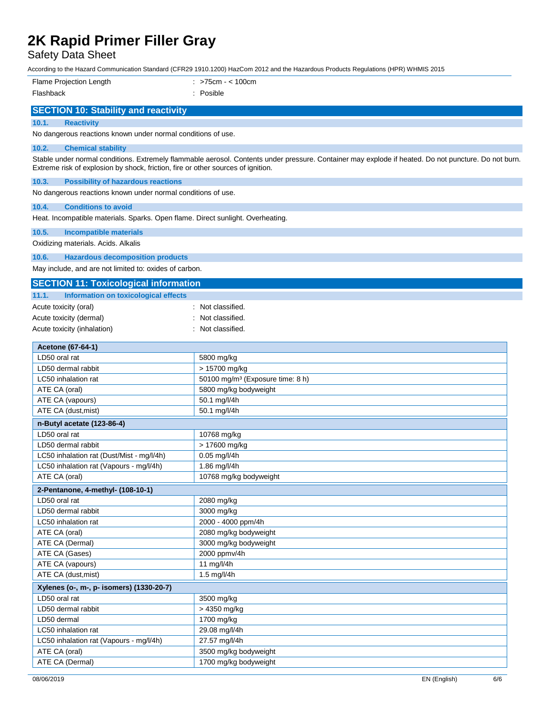Safety Data Sheet

According to the Hazard Communication Standard (CFR29 1910.1200) HazCom 2012 and the Hazardous Products Regulations (HPR) WHMIS 2015

| Flame Projection Length                                                              | : >75cm - < 100cm                                                                                                                                    |
|--------------------------------------------------------------------------------------|------------------------------------------------------------------------------------------------------------------------------------------------------|
| Flashback                                                                            | : Posible                                                                                                                                            |
|                                                                                      |                                                                                                                                                      |
| <b>SECTION 10: Stability and reactivity</b>                                          |                                                                                                                                                      |
| 10.1.<br><b>Reactivity</b>                                                           |                                                                                                                                                      |
| No dangerous reactions known under normal conditions of use.                         |                                                                                                                                                      |
| 10.2.<br><b>Chemical stability</b>                                                   |                                                                                                                                                      |
| Extreme risk of explosion by shock, friction, fire or other sources of ignition.     | Stable under normal conditions. Extremely flammable aerosol. Contents under pressure. Container may explode if heated. Do not puncture. Do not burn. |
| 10.3.<br><b>Possibility of hazardous reactions</b>                                   |                                                                                                                                                      |
| No dangerous reactions known under normal conditions of use.                         |                                                                                                                                                      |
| 10.4.<br><b>Conditions to avoid</b>                                                  |                                                                                                                                                      |
| Heat. Incompatible materials. Sparks. Open flame. Direct sunlight. Overheating.      |                                                                                                                                                      |
| 10.5.<br>Incompatible materials                                                      |                                                                                                                                                      |
| Oxidizing materials. Acids. Alkalis                                                  |                                                                                                                                                      |
|                                                                                      |                                                                                                                                                      |
| 10.6.<br><b>Hazardous decomposition products</b>                                     |                                                                                                                                                      |
| May include, and are not limited to: oxides of carbon.                               |                                                                                                                                                      |
| <b>SECTION 11: Toxicological information</b>                                         |                                                                                                                                                      |
| Information on toxicological effects<br>11.1.                                        |                                                                                                                                                      |
| Acute toxicity (oral)                                                                | : Not classified.                                                                                                                                    |
| Acute toxicity (dermal)                                                              | Not classified.                                                                                                                                      |
| Acute toxicity (inhalation)                                                          | Not classified.                                                                                                                                      |
|                                                                                      |                                                                                                                                                      |
| Acetone (67-64-1)                                                                    |                                                                                                                                                      |
| LD50 oral rat                                                                        | 5800 mg/kg                                                                                                                                           |
| LD50 dermal rabbit                                                                   | > 15700 mg/kg                                                                                                                                        |
| LC50 inhalation rat<br>ATE CA (oral)                                                 | 50100 mg/m <sup>3</sup> (Exposure time: 8 h)                                                                                                         |
| ATE CA (vapours)                                                                     | 5800 mg/kg bodyweight<br>50.1 mg/l/4h                                                                                                                |
| ATE CA (dust, mist)                                                                  | 50.1 mg/l/4h                                                                                                                                         |
|                                                                                      |                                                                                                                                                      |
| n-Butyl acetate (123-86-4)                                                           |                                                                                                                                                      |
| LD50 oral rat                                                                        | 10768 mg/kg                                                                                                                                          |
| LD50 dermal rabbit                                                                   | > 17600 mg/kg<br>0.05 mg/l/4h                                                                                                                        |
| LC50 inhalation rat (Dust/Mist - mg/l/4h)<br>LC50 inhalation rat (Vapours - mg/l/4h) | 1.86 mg/l/4h                                                                                                                                         |
| ATE CA (oral)                                                                        | 10768 mg/kg bodyweight                                                                                                                               |
|                                                                                      |                                                                                                                                                      |
| 2-Pentanone, 4-methyl- (108-10-1)<br>LD50 oral rat                                   | 2080 mg/kg                                                                                                                                           |
| LD50 dermal rabbit                                                                   | 3000 mg/kg                                                                                                                                           |
| LC50 inhalation rat                                                                  | 2000 - 4000 ppm/4h                                                                                                                                   |
| ATE CA (oral)                                                                        | 2080 mg/kg bodyweight                                                                                                                                |
| ATE CA (Dermal)                                                                      | 3000 mg/kg bodyweight                                                                                                                                |
| ATE CA (Gases)                                                                       | 2000 ppmv/4h                                                                                                                                         |
| ATE CA (vapours)                                                                     | 11 mg/l/4h                                                                                                                                           |
| ATE CA (dust, mist)                                                                  | $1.5$ mg/l/4h                                                                                                                                        |
| Xylenes (o-, m-, p- isomers) (1330-20-7)                                             |                                                                                                                                                      |
| LD50 oral rat                                                                        | 3500 mg/kg                                                                                                                                           |
| LD50 dermal rabbit                                                                   | > 4350 mg/kg                                                                                                                                         |
| LD50 dermal                                                                          | 1700 mg/kg                                                                                                                                           |
| LC50 inhalation rat                                                                  | 29.08 mg/l/4h                                                                                                                                        |
| LC50 inhalation rat (Vapours - mg/l/4h)                                              | 27.57 mg/l/4h                                                                                                                                        |
| ATE CA (oral)                                                                        | 3500 mg/kg bodyweight                                                                                                                                |

ATE CA (Dermal) **1700** mg/kg bodyweight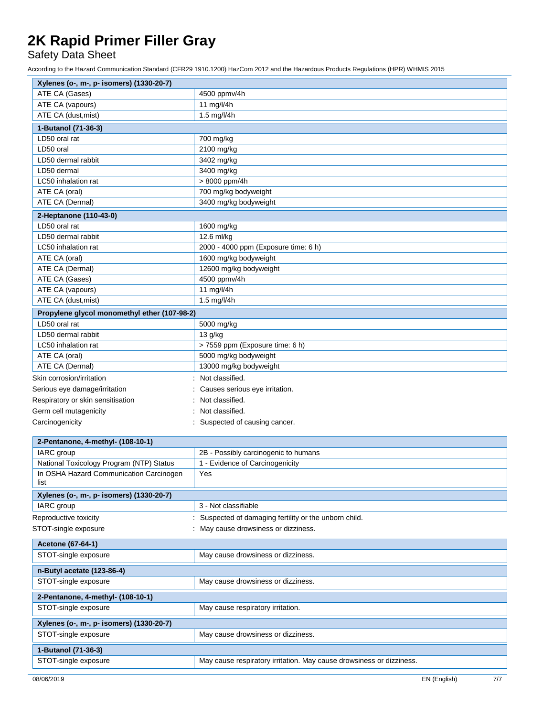Safety Data Sheet

According to the Hazard Communication Standard (CFR29 1910.1200) HazCom 2012 and the Hazardous Products Regulations (HPR) WHMIS 2015

| Xylenes (o-, m-, p- isomers) (1330-20-7)     |                                                                      |  |
|----------------------------------------------|----------------------------------------------------------------------|--|
| ATE CA (Gases)                               | 4500 ppmv/4h                                                         |  |
| ATE CA (vapours)                             | 11 mg/l/4h                                                           |  |
| ATE CA (dust, mist)                          | 1.5 mg/l/4h                                                          |  |
| 1-Butanol (71-36-3)                          |                                                                      |  |
| LD50 oral rat                                | 700 mg/kg                                                            |  |
| LD50 oral                                    | 2100 mg/kg                                                           |  |
| LD50 dermal rabbit                           | 3402 mg/kg                                                           |  |
| LD50 dermal                                  | 3400 mg/kg                                                           |  |
| LC50 inhalation rat                          | > 8000 ppm/4h                                                        |  |
| ATE CA (oral)                                | 700 mg/kg bodyweight                                                 |  |
| ATE CA (Dermal)                              | 3400 mg/kg bodyweight                                                |  |
| 2-Heptanone (110-43-0)                       |                                                                      |  |
| LD50 oral rat                                | 1600 mg/kg                                                           |  |
| LD50 dermal rabbit                           | 12.6 ml/kg                                                           |  |
| LC50 inhalation rat                          | 2000 - 4000 ppm (Exposure time: 6 h)                                 |  |
| ATE CA (oral)                                | 1600 mg/kg bodyweight                                                |  |
| ATE CA (Dermal)                              | 12600 mg/kg bodyweight                                               |  |
| ATE CA (Gases)                               | 4500 ppmv/4h                                                         |  |
| ATE CA (vapours)                             | 11 mg/l/4h                                                           |  |
| ATE CA (dust, mist)                          | 1.5 mg/l/4h                                                          |  |
| Propylene glycol monomethyl ether (107-98-2) |                                                                      |  |
| LD50 oral rat                                | 5000 mg/kg                                                           |  |
| LD50 dermal rabbit                           | 13 g/kg                                                              |  |
| LC50 inhalation rat                          | > 7559 ppm (Exposure time: 6 h)                                      |  |
| ATE CA (oral)                                | 5000 mg/kg bodyweight                                                |  |
| ATE CA (Dermal)                              | 13000 mg/kg bodyweight                                               |  |
| Skin corrosion/irritation                    | Not classified.                                                      |  |
| Serious eye damage/irritation                | Causes serious eye irritation.                                       |  |
| Respiratory or skin sensitisation            | Not classified.                                                      |  |
| Germ cell mutagenicity                       | Not classified.                                                      |  |
| Carcinogenicity                              | : Suspected of causing cancer.                                       |  |
| 2-Pentanone, 4-methyl- (108-10-1)            |                                                                      |  |
| IARC group                                   | 2B - Possibly carcinogenic to humans                                 |  |
| National Toxicology Program (NTP) Status     | 1 - Evidence of Carcinogenicity                                      |  |
| In OSHA Hazard Communication Carcinogen      | Yes                                                                  |  |
| list                                         |                                                                      |  |
| Xylenes (o-, m-, p- isomers) (1330-20-7)     |                                                                      |  |
| IARC group                                   | 3 - Not classifiable                                                 |  |
| Reproductive toxicity                        | : Suspected of damaging fertility or the unborn child.               |  |
| STOT-single exposure                         | May cause drowsiness or dizziness.                                   |  |
| Acetone (67-64-1)                            |                                                                      |  |
| STOT-single exposure                         | May cause drowsiness or dizziness.                                   |  |
| n-Butyl acetate (123-86-4)                   |                                                                      |  |
| STOT-single exposure                         | May cause drowsiness or dizziness.                                   |  |
|                                              |                                                                      |  |
| 2-Pentanone, 4-methyl- (108-10-1)            |                                                                      |  |
| STOT-single exposure                         | May cause respiratory irritation.                                    |  |
| Xylenes (o-, m-, p- isomers) (1330-20-7)     |                                                                      |  |
| STOT-single exposure                         | May cause drowsiness or dizziness.                                   |  |
| 1-Butanol (71-36-3)                          |                                                                      |  |
| STOT-single exposure                         | May cause respiratory irritation. May cause drowsiness or dizziness. |  |
|                                              |                                                                      |  |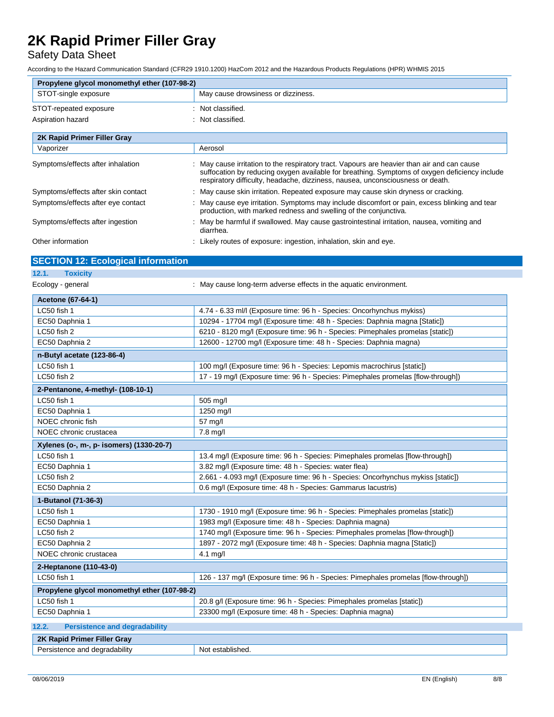## Safety Data Sheet

According to the Hazard Communication Standard (CFR29 1910.1200) HazCom 2012 and the Hazardous Products Regulations (HPR) WHMIS 2015

| Propylene glycol monomethyl ether (107-98-2)  |                                                                                                                                                                                                                                                                              |  |
|-----------------------------------------------|------------------------------------------------------------------------------------------------------------------------------------------------------------------------------------------------------------------------------------------------------------------------------|--|
| STOT-single exposure                          | May cause drowsiness or dizziness.                                                                                                                                                                                                                                           |  |
| STOT-repeated exposure                        | : Not classified.                                                                                                                                                                                                                                                            |  |
| Aspiration hazard                             | : Not classified.                                                                                                                                                                                                                                                            |  |
|                                               |                                                                                                                                                                                                                                                                              |  |
| 2K Rapid Primer Filler Gray                   |                                                                                                                                                                                                                                                                              |  |
| Vaporizer                                     | Aerosol                                                                                                                                                                                                                                                                      |  |
| Symptoms/effects after inhalation             | May cause irritation to the respiratory tract. Vapours are heavier than air and can cause<br>suffocation by reducing oxygen available for breathing. Symptoms of oxygen deficiency include<br>respiratory difficulty, headache, dizziness, nausea, unconsciousness or death. |  |
| Symptoms/effects after skin contact           | May cause skin irritation. Repeated exposure may cause skin dryness or cracking.                                                                                                                                                                                             |  |
| Symptoms/effects after eye contact            | : May cause eye irritation. Symptoms may include discomfort or pain, excess blinking and tear<br>production, with marked redness and swelling of the conjunctiva.                                                                                                            |  |
| Symptoms/effects after ingestion              | : May be harmful if swallowed. May cause gastrointestinal irritation, nausea, vomiting and<br>diarrhea.                                                                                                                                                                      |  |
| Other information                             | : Likely routes of exposure: ingestion, inhalation, skin and eye.                                                                                                                                                                                                            |  |
| <b>SECTION 12: Ecological information</b>     |                                                                                                                                                                                                                                                                              |  |
| 12.1.<br><b>Toxicity</b>                      |                                                                                                                                                                                                                                                                              |  |
| Ecology - general                             | : May cause long-term adverse effects in the aquatic environment.                                                                                                                                                                                                            |  |
| <b>Acetone (67-64-1)</b>                      |                                                                                                                                                                                                                                                                              |  |
| LC50 fish 1                                   | 4.74 - 6.33 ml/l (Exposure time: 96 h - Species: Oncorhynchus mykiss)                                                                                                                                                                                                        |  |
| EC50 Daphnia 1                                | 10294 - 17704 mg/l (Exposure time: 48 h - Species: Daphnia magna [Static])                                                                                                                                                                                                   |  |
| LC50 fish 2                                   | 6210 - 8120 mg/l (Exposure time: 96 h - Species: Pimephales promelas [static])                                                                                                                                                                                               |  |
| EC50 Daphnia 2                                | 12600 - 12700 mg/l (Exposure time: 48 h - Species: Daphnia magna)                                                                                                                                                                                                            |  |
| n-Butyl acetate (123-86-4)                    |                                                                                                                                                                                                                                                                              |  |
| LC50 fish 1                                   | 100 mg/l (Exposure time: 96 h - Species: Lepomis macrochirus [static])                                                                                                                                                                                                       |  |
| LC50 fish 2                                   | 17 - 19 mg/l (Exposure time: 96 h - Species: Pimephales promelas [flow-through])                                                                                                                                                                                             |  |
|                                               |                                                                                                                                                                                                                                                                              |  |
| 2-Pentanone, 4-methyl- (108-10-1)             |                                                                                                                                                                                                                                                                              |  |
| LC50 fish 1                                   | 505 mg/l                                                                                                                                                                                                                                                                     |  |
| EC50 Daphnia 1                                | 1250 mg/l                                                                                                                                                                                                                                                                    |  |
| NOEC chronic fish                             | 57 mg/l                                                                                                                                                                                                                                                                      |  |
| NOEC chronic crustacea                        | 7.8 mg/l                                                                                                                                                                                                                                                                     |  |
| Xylenes (o-, m-, p- isomers) (1330-20-7)      |                                                                                                                                                                                                                                                                              |  |
| LC50 fish 1                                   | 13.4 mg/l (Exposure time: 96 h - Species: Pimephales promelas [flow-through])                                                                                                                                                                                                |  |
| EC50 Daphnia 1                                | 3.82 mg/l (Exposure time: 48 h - Species: water flea)                                                                                                                                                                                                                        |  |
| LC50 fish 2                                   | 2.661 - 4.093 mg/l (Exposure time: 96 h - Species: Oncorhynchus mykiss [static])                                                                                                                                                                                             |  |
| EC50 Daphnia 2                                | 0.6 mg/l (Exposure time: 48 h - Species: Gammarus lacustris)                                                                                                                                                                                                                 |  |
| 1-Butanol (71-36-3)                           |                                                                                                                                                                                                                                                                              |  |
| LC50 fish 1                                   | 1730 - 1910 mg/l (Exposure time: 96 h - Species: Pimephales promelas [static])                                                                                                                                                                                               |  |
| EC50 Daphnia 1                                | 1983 mg/l (Exposure time: 48 h - Species: Daphnia magna)                                                                                                                                                                                                                     |  |
| LC50 fish 2                                   | 1740 mg/l (Exposure time: 96 h - Species: Pimephales promelas [flow-through])                                                                                                                                                                                                |  |
| EC50 Daphnia 2                                | 1897 - 2072 mg/l (Exposure time: 48 h - Species: Daphnia magna [Static])                                                                                                                                                                                                     |  |
| NOEC chronic crustacea                        | 4.1 mg/l                                                                                                                                                                                                                                                                     |  |
| 2-Heptanone (110-43-0)                        |                                                                                                                                                                                                                                                                              |  |
| LC50 fish 1                                   | 126 - 137 mg/l (Exposure time: 96 h - Species: Pimephales promelas [flow-through])                                                                                                                                                                                           |  |
| Propylene glycol monomethyl ether (107-98-2)  |                                                                                                                                                                                                                                                                              |  |
| LC50 fish 1                                   | 20.8 g/l (Exposure time: 96 h - Species: Pimephales promelas [static])                                                                                                                                                                                                       |  |
| EC50 Daphnia 1                                | 23300 mg/l (Exposure time: 48 h - Species: Daphnia magna)                                                                                                                                                                                                                    |  |
| 12.2.<br><b>Persistence and degradability</b> |                                                                                                                                                                                                                                                                              |  |
| 2K Rapid Primer Filler Gray                   |                                                                                                                                                                                                                                                                              |  |
| Persistence and degradability                 | Not established.                                                                                                                                                                                                                                                             |  |
|                                               |                                                                                                                                                                                                                                                                              |  |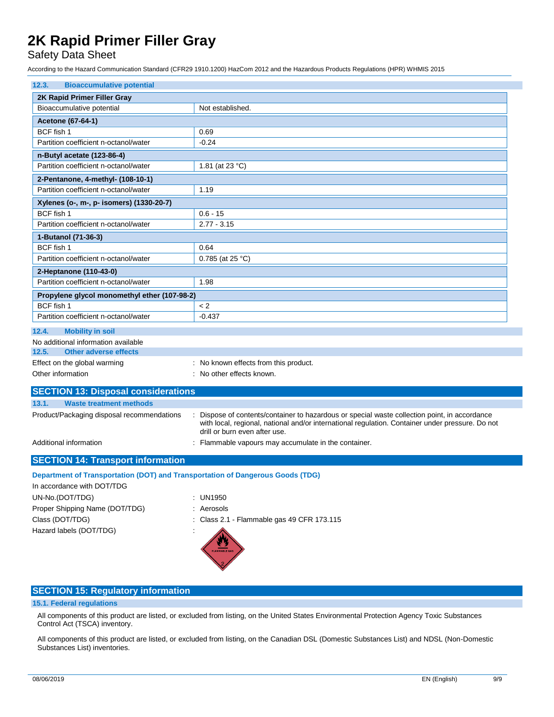Safety Data Sheet

According to the Hazard Communication Standard (CFR29 1910.1200) HazCom 2012 and the Hazardous Products Regulations (HPR) WHMIS 2015

| 12.3.<br><b>Bioaccumulative potential</b>                                      |                                                                                                                                                                                                                                  |  |  |  |
|--------------------------------------------------------------------------------|----------------------------------------------------------------------------------------------------------------------------------------------------------------------------------------------------------------------------------|--|--|--|
| 2K Rapid Primer Filler Gray                                                    |                                                                                                                                                                                                                                  |  |  |  |
| Bioaccumulative potential                                                      | Not established.                                                                                                                                                                                                                 |  |  |  |
| <b>Acetone (67-64-1)</b>                                                       |                                                                                                                                                                                                                                  |  |  |  |
| BCF fish 1                                                                     | 0.69                                                                                                                                                                                                                             |  |  |  |
| Partition coefficient n-octanol/water                                          | $-0.24$                                                                                                                                                                                                                          |  |  |  |
| n-Butyl acetate (123-86-4)                                                     |                                                                                                                                                                                                                                  |  |  |  |
| Partition coefficient n-octanol/water                                          | 1.81 (at 23 °C)                                                                                                                                                                                                                  |  |  |  |
| 2-Pentanone, 4-methyl- (108-10-1)                                              |                                                                                                                                                                                                                                  |  |  |  |
| Partition coefficient n-octanol/water                                          | 1.19                                                                                                                                                                                                                             |  |  |  |
| Xylenes (o-, m-, p- isomers) (1330-20-7)                                       |                                                                                                                                                                                                                                  |  |  |  |
| BCF fish 1                                                                     | $0.6 - 15$                                                                                                                                                                                                                       |  |  |  |
| Partition coefficient n-octanol/water                                          | $2.77 - 3.15$                                                                                                                                                                                                                    |  |  |  |
| 1-Butanol (71-36-3)                                                            |                                                                                                                                                                                                                                  |  |  |  |
| BCF fish 1                                                                     | 0.64                                                                                                                                                                                                                             |  |  |  |
| Partition coefficient n-octanol/water                                          | 0.785 (at 25 °C)                                                                                                                                                                                                                 |  |  |  |
| 2-Heptanone (110-43-0)                                                         |                                                                                                                                                                                                                                  |  |  |  |
| Partition coefficient n-octanol/water                                          | 1.98                                                                                                                                                                                                                             |  |  |  |
| Propylene glycol monomethyl ether (107-98-2)                                   |                                                                                                                                                                                                                                  |  |  |  |
| BCF fish 1                                                                     | < 2                                                                                                                                                                                                                              |  |  |  |
| Partition coefficient n-octanol/water                                          | $-0.437$                                                                                                                                                                                                                         |  |  |  |
| 12.4.<br><b>Mobility in soil</b>                                               |                                                                                                                                                                                                                                  |  |  |  |
| No additional information available                                            |                                                                                                                                                                                                                                  |  |  |  |
| <b>Other adverse effects</b><br>12.5.                                          |                                                                                                                                                                                                                                  |  |  |  |
| Effect on the global warming                                                   | : No known effects from this product.                                                                                                                                                                                            |  |  |  |
| Other information                                                              | : No other effects known.                                                                                                                                                                                                        |  |  |  |
| <b>SECTION 13: Disposal considerations</b>                                     |                                                                                                                                                                                                                                  |  |  |  |
| 13.1.<br><b>Waste treatment methods</b>                                        |                                                                                                                                                                                                                                  |  |  |  |
| Product/Packaging disposal recommendations                                     | Dispose of contents/container to hazardous or special waste collection point, in accordance<br>with local, regional, national and/or international regulation. Container under pressure. Do not<br>drill or burn even after use. |  |  |  |
| Additional information                                                         | Flammable vapours may accumulate in the container.                                                                                                                                                                               |  |  |  |
| <b>SECTION 14: Transport information</b>                                       |                                                                                                                                                                                                                                  |  |  |  |
| Department of Transportation (DOT) and Transportation of Dangerous Goods (TDG) |                                                                                                                                                                                                                                  |  |  |  |
| In accordance with DOT/TDG                                                     |                                                                                                                                                                                                                                  |  |  |  |
| UN-No.(DOT/TDG)                                                                | : UN1950                                                                                                                                                                                                                         |  |  |  |
| Proper Shipping Name (DOT/TDG)                                                 | : Aerosols                                                                                                                                                                                                                       |  |  |  |
| Class (DOT/TDG)                                                                | Class 2.1 - Flammable gas 49 CFR 173.115                                                                                                                                                                                         |  |  |  |
| Hazard labels (DOT/TDG)                                                        |                                                                                                                                                                                                                                  |  |  |  |

### **SECTION 15: Regulatory information**

### **15.1. Federal regulations**

All components of this product are listed, or excluded from listing, on the United States Environmental Protection Agency Toxic Substances Control Act (TSCA) inventory.

All components of this product are listed, or excluded from listing, on the Canadian DSL (Domestic Substances List) and NDSL (Non-Domestic Substances List) inventories.